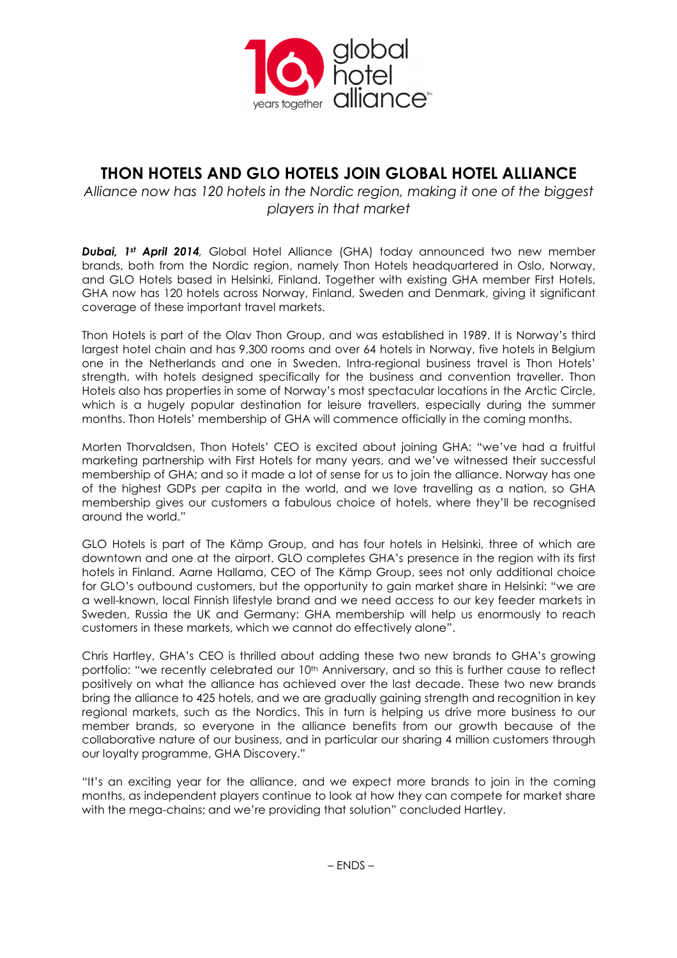

# THON HOTELS AND GLO HOTELS JOIN GLOBAL HOTEL ALLIANCE

Alliance now has 120 hotels in the Nordic region, making it one of the biggest players in that market

**Dubai, 1st April 2014**, Global Hotel Alliance (GHA) today announced two new member brands, both from the Nordic region, namely Thon Hotels headquartered in Oslo, Norway, and GLO Hotels based in Helsinki, Finland. Together with existing GHA member First Hotels, GHA now has 120 hotels across Norway, Finland, Sweden and Denmark, giving it significant coverage of these important travel markets.

Thon Hotels is part of the Olav Thon Group, and was established in 1989. It is Norway's third largest hotel chain and has 9,300 rooms and over 64 hotels in Norway, five hotels in Belgium one in the Netherlands and one in Sweden. Intra-regional business travel is Thon Hotels' strength, with hotels designed specifically for the business and convention traveller. Thon Hotels also has properties in some of Norway's most spectacular locations in the Arctic Circle, which is a hugely popular destination for leisure travellers, especially during the summer months. Thon Hotels' membership of GHA will commence officially in the coming months.

Morten Thorvaldsen, Thon Hotels' CEO is excited about joining GHA: "we've had a fruitful marketing partnership with First Hotels for many years, and we've witnessed their successful membership of GHA; and so it made a lot of sense for us to join the alliance. Norway has one of the highest GDPs per capita in the world, and we love travelling as a nation, so GHA membership gives our customers a fabulous choice of hotels, where they'll be recognised around the world."

GLO Hotels is part of The Kämp Group, and has four hotels in Helsinki, three of which are downtown and one at the airport. GLO completes GHA's presence in the region with its first hotels in Finland. Aarne Hallama, CEO of The Kämp Group, sees not only additional choice for GLO's outbound customers, but the opportunity to gain market share in Helsinki: "we are a well-known, local Finnish lifestyle brand and we need access to our key feeder markets in Sweden, Russia the UK and Germany: GHA membership will help us enormously to reach customers in these markets, which we cannot do effectively alone".

Chris Hartley, GHA's CEO is thrilled about adding these two new brands to GHA's growing portfolio: "we recently celebrated our 10<sup>th</sup> Anniversary, and so this is further cause to reflect positively on what the alliance has achieved over the last decade. These two new brands bring the alliance to 425 hotels, and we are gradually gaining strength and recognition in key regional markets, such as the Nordics. This in turn is helping us drive more business to our member brands, so everyone in the alliance benefits from our growth because of the collaborative nature of our business, and in particular our sharing 4 million customers through our loyalty programme, GHA Discovery."

"It's an exciting year for the alliance, and we expect more brands to join in the coming months, as independent players continue to look at how they can compete for market share with the mega-chains; and we're providing that solution" concluded Hartley.